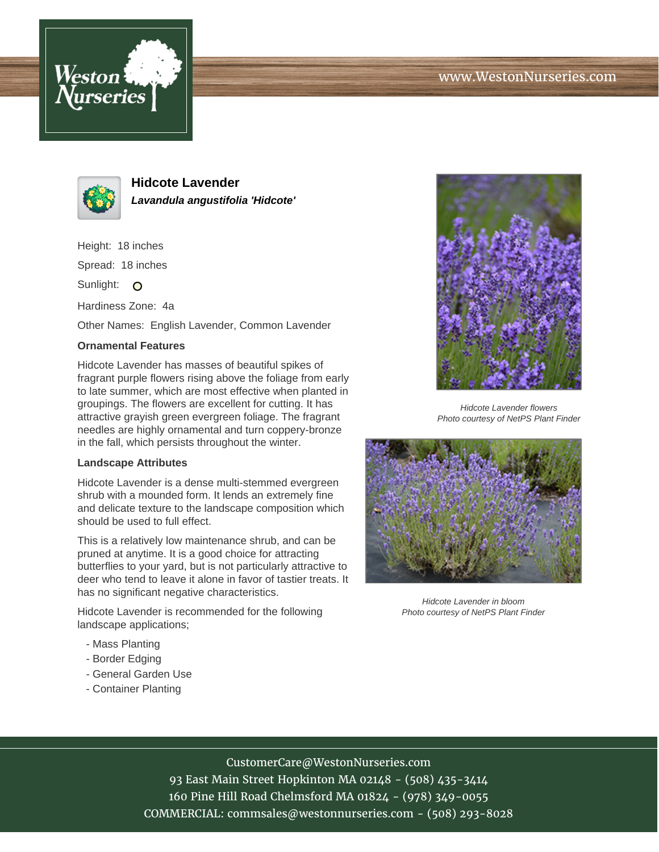



**Hidcote Lavender Lavandula angustifolia 'Hidcote'**

Height: 18 inches Spread: 18 inches

Sunlight: O

Hardiness Zone: 4a

Other Names: English Lavender, Common Lavender

## **Ornamental Features**

Hidcote Lavender has masses of beautiful spikes of fragrant purple flowers rising above the foliage from early to late summer, which are most effective when planted in groupings. The flowers are excellent for cutting. It has attractive grayish green evergreen foliage. The fragrant needles are highly ornamental and turn coppery-bronze in the fall, which persists throughout the winter.

## **Landscape Attributes**

Hidcote Lavender is a dense multi-stemmed evergreen shrub with a mounded form. It lends an extremely fine and delicate texture to the landscape composition which should be used to full effect.

This is a relatively low maintenance shrub, and can be pruned at anytime. It is a good choice for attracting butterflies to your yard, but is not particularly attractive to deer who tend to leave it alone in favor of tastier treats. It has no significant negative characteristics.

Hidcote Lavender is recommended for the following landscape applications;

- Mass Planting
- Border Edging
- General Garden Use
- Container Planting



Hidcote Lavender flowers Photo courtesy of NetPS Plant Finder



Hidcote Lavender in bloom Photo courtesy of NetPS Plant Finder

## CustomerCare@WestonNurseries.com

93 East Main Street Hopkinton MA 02148 - (508) 435-3414 160 Pine Hill Road Chelmsford MA 01824 - (978) 349-0055 COMMERCIAL: commsales@westonnurseries.com - (508) 293-8028